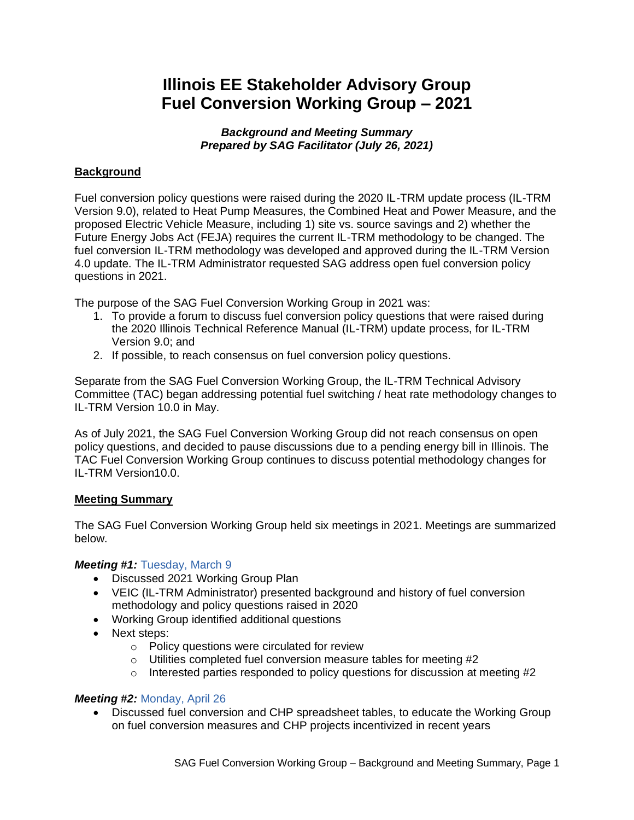# **Illinois EE Stakeholder Advisory Group Fuel Conversion Working Group – 2021**

*Background and Meeting Summary Prepared by SAG Facilitator (July 26, 2021)*

## **Background**

Fuel conversion policy questions were raised during the 2020 IL-TRM update process (IL-TRM Version 9.0), related to Heat Pump Measures, the Combined Heat and Power Measure, and the proposed Electric Vehicle Measure, including 1) site vs. source savings and 2) whether the Future Energy Jobs Act (FEJA) requires the current IL-TRM methodology to be changed. The fuel conversion IL-TRM methodology was developed and approved during the IL-TRM Version 4.0 update. The IL-TRM Administrator requested SAG address open fuel conversion policy questions in 2021.

The purpose of the SAG Fuel Conversion Working Group in 2021 was:

- 1. To provide a forum to discuss fuel conversion policy questions that were raised during the 2020 Illinois Technical Reference Manual (IL-TRM) update process, for IL-TRM Version 9.0; and
- 2. If possible, to reach consensus on fuel conversion policy questions.

Separate from the SAG Fuel Conversion Working Group, the IL-TRM Technical Advisory Committee (TAC) began addressing potential fuel switching / heat rate methodology changes to IL-TRM Version 10.0 in May.

As of July 2021, the SAG Fuel Conversion Working Group did not reach consensus on open policy questions, and decided to pause discussions due to a pending energy bill in Illinois. The TAC Fuel Conversion Working Group continues to discuss potential methodology changes for IL-TRM Version10.0.

## **Meeting Summary**

The SAG Fuel Conversion Working Group held six meetings in 2021. Meetings are summarized below.

## *Meeting #1:* [Tuesday, March 9](https://www.ilsag.info/event/tuesday-march-9-fuel-conversion-working-group-meeting/)

- Discussed 2021 Working Group Plan
- VEIC (IL-TRM Administrator) presented background and history of fuel conversion methodology and policy questions raised in 2020
- Working Group identified additional questions
- Next steps:
	- o Policy questions were circulated for review
	- o Utilities completed fuel conversion measure tables for meeting #2
	- $\circ$  Interested parties responded to policy questions for discussion at meeting #2

## *Meeting #2:* [Monday, April 26](https://www.ilsag.info/event/monday-april-26-fuel-conversion-working-group-meeting/)

• Discussed fuel conversion and CHP spreadsheet tables, to educate the Working Group on fuel conversion measures and CHP projects incentivized in recent years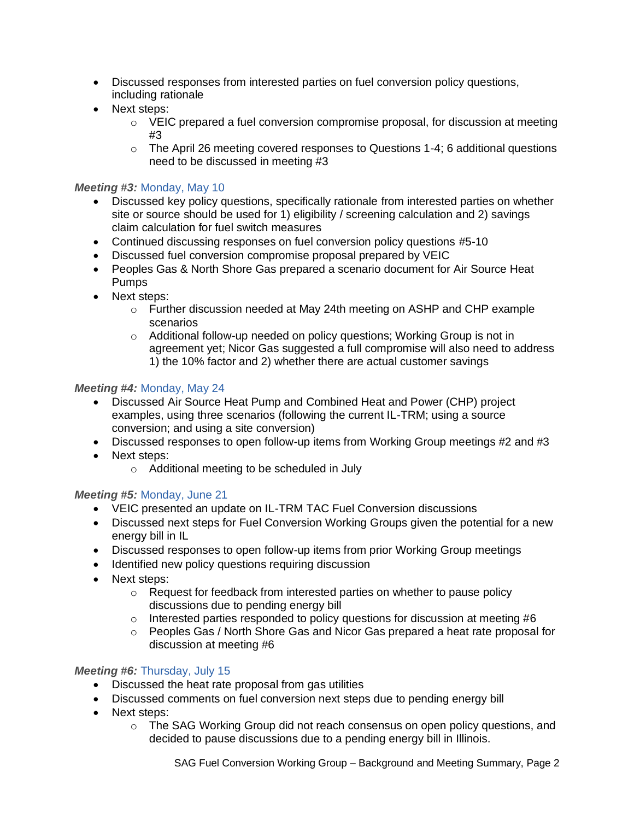- Discussed responses from interested parties on fuel conversion policy questions, including rationale
- Next steps:
	- $\circ$  VEIC prepared a fuel conversion compromise proposal, for discussion at meeting #3
	- o The April 26 meeting covered responses to Questions 1-4; 6 additional questions need to be discussed in meeting #3

## *Meeting #3:* [Monday, May 10](https://www.ilsag.info/event/monday-may-10-fuel-conversion-working-group-meeting/)

- Discussed key policy questions, specifically rationale from interested parties on whether site or source should be used for 1) eligibility / screening calculation and 2) savings claim calculation for fuel switch measures
- Continued discussing responses on fuel conversion policy questions #5-10
- Discussed fuel conversion compromise proposal prepared by VEIC
- Peoples Gas & North Shore Gas prepared a scenario document for Air Source Heat Pumps
- Next steps:
	- o Further discussion needed at May 24th meeting on ASHP and CHP example scenarios
	- o Additional follow-up needed on policy questions; Working Group is not in agreement yet; Nicor Gas suggested a full compromise will also need to address 1) the 10% factor and 2) whether there are actual customer savings

## *Meeting #4:* [Monday, May 24](https://www.ilsag.info/event/monday-may-24-fuel-conversion-working-group-meeting/)

- Discussed Air Source Heat Pump and Combined Heat and Power (CHP) project examples, using three scenarios (following the current IL-TRM; using a source conversion; and using a site conversion)
- Discussed responses to open follow-up items from Working Group meetings #2 and #3
- Next steps:
	- o Additional meeting to be scheduled in July

# *Meeting #5:* [Monday, June 21](https://www.ilsag.info/event/monday-june-21-fuel-conversion-working-group-meeting/)

- VEIC presented an update on IL-TRM TAC Fuel Conversion discussions
- Discussed next steps for Fuel Conversion Working Groups given the potential for a new energy bill in IL
- Discussed responses to open follow-up items from prior Working Group meetings
- Identified new policy questions requiring discussion
- Next steps:
	- o Request for feedback from interested parties on whether to pause policy discussions due to pending energy bill
	- $\circ$  Interested parties responded to policy questions for discussion at meeting #6
	- o Peoples Gas / North Shore Gas and Nicor Gas prepared a heat rate proposal for discussion at meeting #6

## *Meeting #6:* [Thursday, July 15](https://www.ilsag.info/event/thursday-july-15-fuel-conversion-working-group-meeting/)

- Discussed the heat rate proposal from gas utilities
- Discussed comments on fuel conversion next steps due to pending energy bill
- Next steps:
	- $\circ$  The SAG Working Group did not reach consensus on open policy questions, and decided to pause discussions due to a pending energy bill in Illinois.